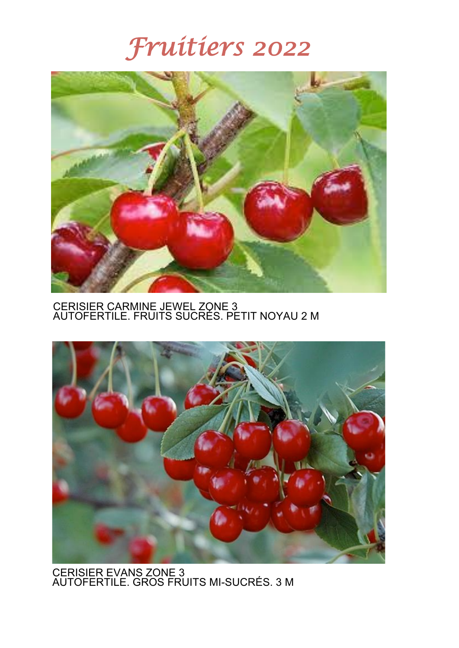

CERISIER CARMINE JEWEL ZONE 3 AUTOFERTILE. FRUITS SUCRÉS. PETIT NOYAU 2 M



CERISIER EVANS ZONE 3 AUTOFERTILE. GROS FRUITS MI-SUCRÉS. 3 M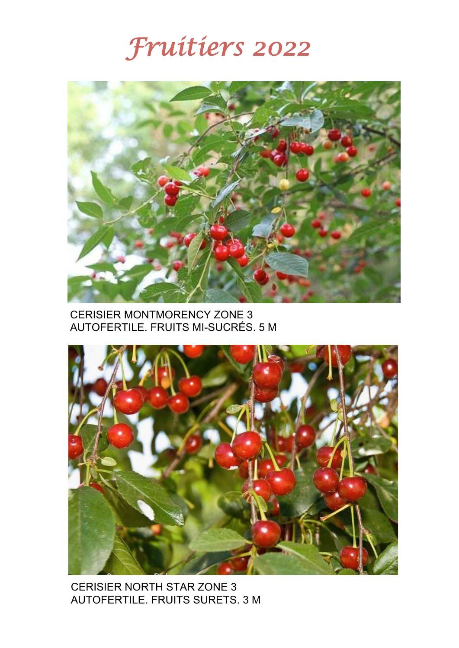

### CERISIER MONTMORENCY ZONE 3 AUTOFERTILE. FRUITS MI-SUCRÉS. 5 M



CERISIER NORTH STAR ZONE 3 AUTOFERTILE. FRUITS SURETS. 3 M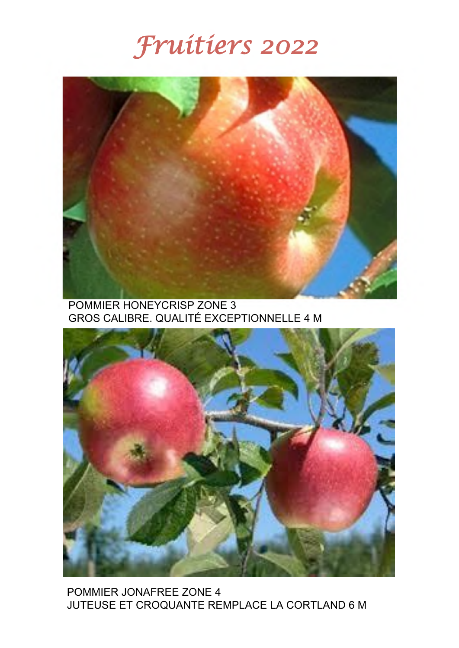

POMMIER HONEYCRISP ZONE 3 GROS CALIBRE. QUALITÉ EXCEPTIONNELLE 4 M



POMMIER JONAFREE ZONE 4 JUTEUSE ET CROQUANTE REMPLACE LA CORTLAND 6 M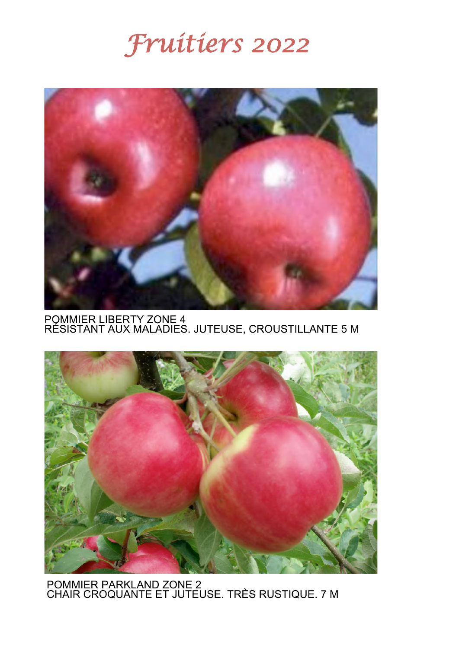

POMMIER LIBERTY ZONE 4<br>RÉSISTANT AUX MALADIES. JUTEUSE, CROUSTILLANTE 5 M



POMMIER PARKLAND ZONE 2 CHAIR CROQUANTE ET JUTEUSE. TRÈS RUSTIQUE. 7 M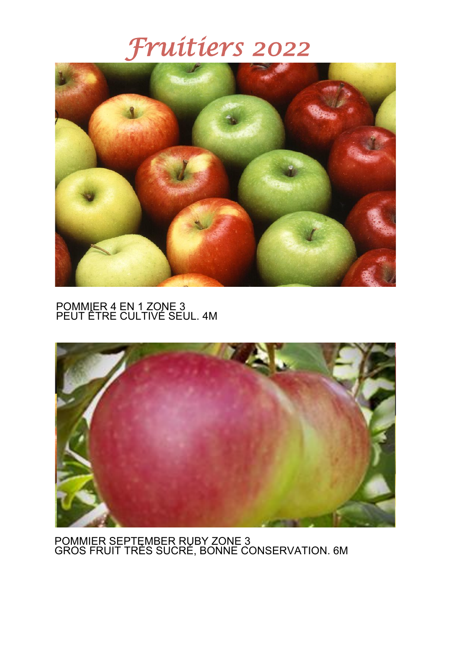

#### POMMIER 4 EN 1 ZONE 3 PEUT ÊTRE CULTIVÉ SEUL. 4M



POMMIER SEPTEMBER RUBY ZONE 3 GROS FRUIT TRÈS SUCRÉ, BONNE CONSERVATION. 6M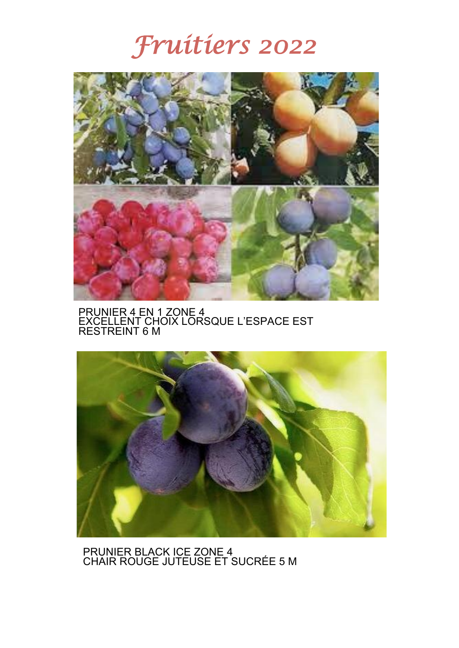

PRUNIER 4 EN 1 ZONE 4 EXCELLENT CHOIX LORSQUE L'ESPACE EST RESTREINT 6 M



PRUNIER BLACK ICE ZONE 4 CHAIR ROUGE JUTEUSE ET SUCRÉE 5 M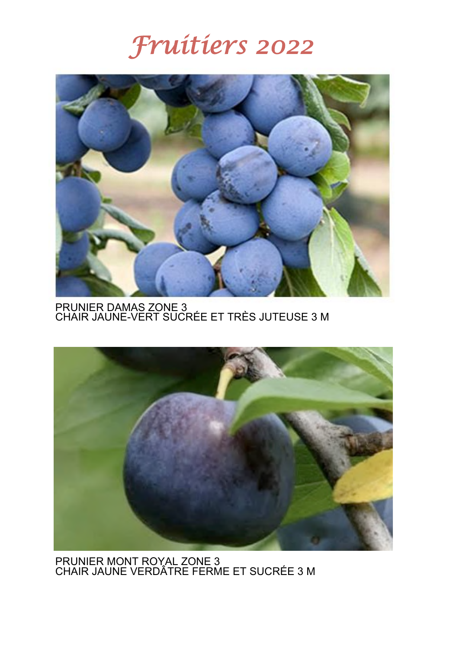

PRUNIER DAMAS ZONE 3<br>CHAIR JAUNE-VERT SUCRÉE ET TRÈS JUTEUSE 3 M



PRUNIER MONT ROYAL ZONE 3 CHAIR JAUNE VERDÂTRE FERME ET SUCRÉE 3 M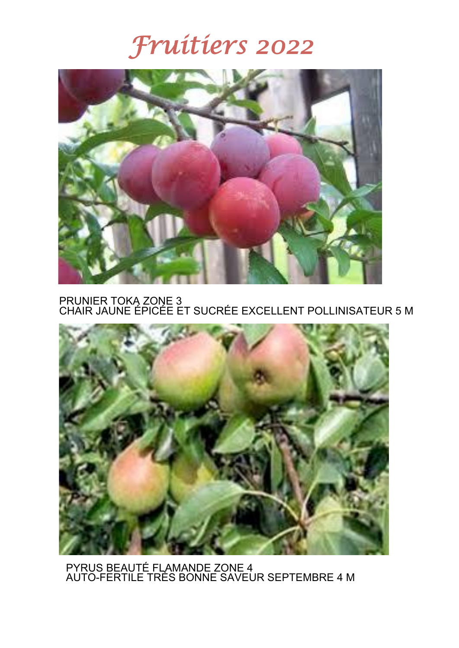

PRUNIER TOKA ZONE 3 CHAIR JAUNE ÉPICÉE ET SUCRÉE EXCELLENT POLLINISATEUR 5 M



PYRUS BEAUTÉ FLAMANDE ZONE 4 AUTO-FERTILE TRÈS BONNE SAVEUR SEPTEMBRE 4 M